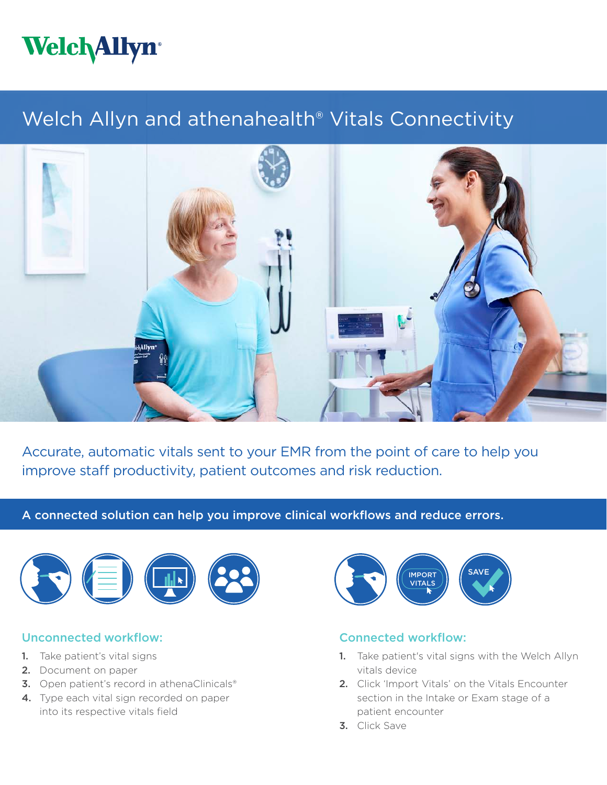

## Welch Allyn and athenahealth<sup>®</sup> Vitals Connectivity



Accurate, automatic vitals sent to your EMR from the point of care to help you improve staff productivity, patient outcomes and risk reduction.

A connected solution can help you improve clinical workflows and reduce errors.



## Unconnected workflow:

- 1. Take patient's vital signs
- 2. Document on paper
- **3.** Open patient's record in athenaClinicals<sup>®</sup>
- 4. Type each vital sign recorded on paper into its respective vitals field



## Connected workflow:

- 1. Take patient's vital signs with the Welch Allyn vitals device
- 2. Click 'Import Vitals' on the Vitals Encounter section in the Intake or Exam stage of a patient encounter
- 3. Click Save